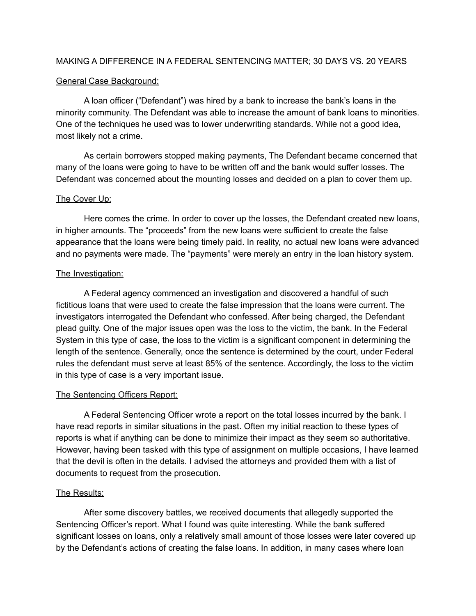### MAKING A DIFFERENCE IN A FEDERAL SENTENCING MATTER; 30 DAYS VS. 20 YEARS

### General Case Background:

A loan officer ("Defendant") was hired by a bank to increase the bank's loans in the minority community. The Defendant was able to increase the amount of bank loans to minorities. One of the techniques he used was to lower underwriting standards. While not a good idea, most likely not a crime.

As certain borrowers stopped making payments, The Defendant became concerned that many of the loans were going to have to be written off and the bank would suffer losses. The Defendant was concerned about the mounting losses and decided on a plan to cover them up.

# The Cover Up:

Here comes the crime. In order to cover up the losses, the Defendant created new loans, in higher amounts. The "proceeds" from the new loans were sufficient to create the false appearance that the loans were being timely paid. In reality, no actual new loans were advanced and no payments were made. The "payments" were merely an entry in the loan history system.

# The Investigation:

A Federal agency commenced an investigation and discovered a handful of such fictitious loans that were used to create the false impression that the loans were current. The investigators interrogated the Defendant who confessed. After being charged, the Defendant plead guilty. One of the major issues open was the loss to the victim, the bank. In the Federal System in this type of case, the loss to the victim is a significant component in determining the length of the sentence. Generally, once the sentence is determined by the court, under Federal rules the defendant must serve at least 85% of the sentence. Accordingly, the loss to the victim in this type of case is a very important issue.

#### The Sentencing Officers Report:

A Federal Sentencing Officer wrote a report on the total losses incurred by the bank. I have read reports in similar situations in the past. Often my initial reaction to these types of reports is what if anything can be done to minimize their impact as they seem so authoritative. However, having been tasked with this type of assignment on multiple occasions, I have learned that the devil is often in the details. I advised the attorneys and provided them with a list of documents to request from the prosecution.

# The Results:

After some discovery battles, we received documents that allegedly supported the Sentencing Officer's report. What I found was quite interesting. While the bank suffered significant losses on loans, only a relatively small amount of those losses were later covered up by the Defendant's actions of creating the false loans. In addition, in many cases where loan